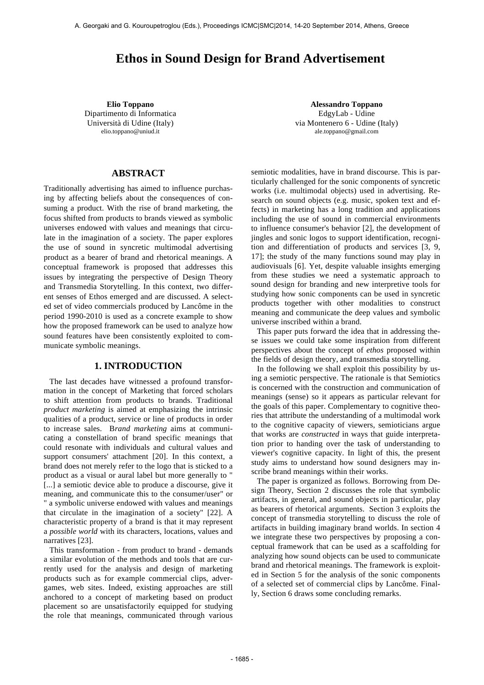# **Ethos in Sound Design for Brand Advertisement**

Dipartimento di Informatica Università di Udine (Italy) elio.toppano@uniud.it

**ABSTRACT** 

Traditionally advertising has aimed to influence purchasing by affecting beliefs about the consequences of consuming a product. With the rise of brand marketing, the focus shifted from products to brands viewed as symbolic universes endowed with values and meanings that circulate in the imagination of a society. The paper explores the use of sound in syncretic multimodal advertising product as a bearer of brand and rhetorical meanings. A conceptual framework is proposed that addresses this issues by integrating the perspective of Design Theory and Transmedia Storytelling. In this context, two different senses of Ethos emerged and are discussed. A selected set of video commercials produced by Lancôme in the period 1990-2010 is used as a concrete example to show how the proposed framework can be used to analyze how sound features have been consistently exploited to communicate symbolic meanings.

### **1. INTRODUCTION**

The last decades have witnessed a profound transformation in the concept of Marketing that forced scholars to shift attention from products to brands. Traditional *product marketing* is aimed at emphasizing the intrinsic qualities of a product, service or line of products in order to increase sales. B*rand marketing* aims at communicating a constellation of brand specific meanings that could resonate with individuals and cultural values and support consumers' attachment [20]. In this context, a brand does not merely refer to the logo that is sticked to a product as a visual or aural label but more generally to " [...] a semiotic device able to produce a discourse, give it meaning, and communicate this to the consumer/user" or " a symbolic universe endowed with values and meanings that circulate in the imagination of a society" [22]. A characteristic property of a brand is that it may represent a *possible world* with its characters, locations, values and narratives [23].

This transformation - from product to brand - demands a similar evolution of the methods and tools that are currently used for the analysis and design of marketing products such as for example commercial clips, advergames, web sites. Indeed, existing approaches are still anchored to a concept of marketing based on product placement so are unsatisfactorily equipped for studying the role that meanings, communicated through various

**Elio Toppano Alessandro Toppano** EdgyLab - Udine via Montenero 6 - Udine (Italy) ale.toppano@gmail.com

> semiotic modalities, have in brand discourse. This is particularly challenged for the sonic components of syncretic works (i.e. multimodal objects) used in advertising. Research on sound objects (e.g. music, spoken text and effects) in marketing has a long tradition and applications including the use of sound in commercial environments to influence consumer's behavior [2], the development of jingles and sonic logos to support identification, recognition and differentiation of products and services [3, 9, 17]; the study of the many functions sound may play in audiovisuals [6]. Yet, despite valuable insights emerging from these studies we need a systematic approach to sound design for branding and new interpretive tools for studying how sonic components can be used in syncretic products together with other modalities to construct meaning and communicate the deep values and symbolic universe inscribed within a brand.

> This paper puts forward the idea that in addressing these issues we could take some inspiration from different perspectives about the concept of *ethos* proposed within the fields of design theory, and transmedia storytelling.

> In the following we shall exploit this possibility by using a semiotic perspective. The rationale is that Semiotics is concerned with the construction and communication of meanings (sense) so it appears as particular relevant for the goals of this paper. Complementary to cognitive theories that attribute the understanding of a multimodal work to the cognitive capacity of viewers, semioticians argue that works are *constructed* in ways that guide interpretation prior to handing over the task of understanding to viewer's cognitive capacity. In light of this, the present study aims to understand how sound designers may inscribe brand meanings within their works.

> The paper is organized as follows. Borrowing from Design Theory, Section 2 discusses the role that symbolic artifacts, in general, and sound objects in particular, play as bearers of rhetorical arguments. Section 3 exploits the concept of transmedia storytelling to discuss the role of artifacts in building imaginary brand worlds. In section 4 we integrate these two perspectives by proposing a conceptual framework that can be used as a scaffolding for analyzing how sound objects can be used to communicate brand and rhetorical meanings. The framework is exploited in Section 5 for the analysis of the sonic components of a selected set of commercial clips by Lancôme. Finally, Section 6 draws some concluding remarks.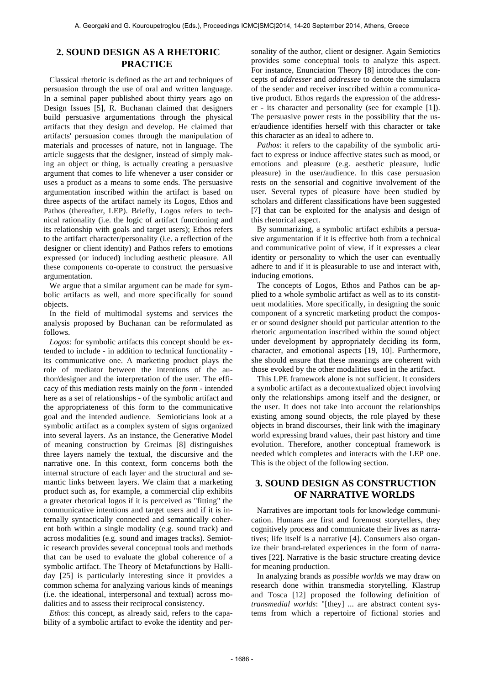## **2. SOUND DESIGN AS A RHETORIC PRACTICE**

Classical rhetoric is defined as the art and techniques of persuasion through the use of oral and written language. In a seminal paper published about thirty years ago on Design Issues [5], R. Buchanan claimed that designers build persuasive argumentations through the physical artifacts that they design and develop. He claimed that artifacts' persuasion comes through the manipulation of materials and processes of nature, not in language. The article suggests that the designer, instead of simply making an object or thing, is actually creating a persuasive argument that comes to life whenever a user consider or uses a product as a means to some ends. The persuasive argumentation inscribed within the artifact is based on three aspects of the artifact namely its Logos, Ethos and Pathos (thereafter, LEP). Briefly, Logos refers to technical rationality (i.e. the logic of artifact functioning and its relationship with goals and target users); Ethos refers to the artifact character/personality (i.e. a reflection of the designer or client identity) and Pathos refers to emotions expressed (or induced) including aesthetic pleasure. All these components co-operate to construct the persuasive argumentation.

We argue that a similar argument can be made for symbolic artifacts as well, and more specifically for sound objects.

In the field of multimodal systems and services the analysis proposed by Buchanan can be reformulated as follows.

*Logos*: for symbolic artifacts this concept should be extended to include - in addition to technical functionality its communicative one. A marketing product plays the role of mediator between the intentions of the author/designer and the interpretation of the user. The efficacy of this mediation rests mainly on the *form* - intended here as a set of relationships - of the symbolic artifact and the appropriateness of this form to the communicative goal and the intended audience. Semioticians look at a symbolic artifact as a complex system of signs organized into several layers. As an instance, the Generative Model of meaning construction by Greimas [8] distinguishes three layers namely the textual, the discursive and the narrative one. In this context, form concerns both the internal structure of each layer and the structural and semantic links between layers. We claim that a marketing product such as, for example, a commercial clip exhibits a greater rhetorical logos if it is perceived as "fitting" the communicative intentions and target users and if it is internally syntactically connected and semantically coherent both within a single modality (e.g. sound track) and across modalities (e.g. sound and images tracks). Semiotic research provides several conceptual tools and methods that can be used to evaluate the global coherence of a symbolic artifact. The Theory of Metafunctions by Halliday [25] is particularly interesting since it provides a common schema for analyzing various kinds of meanings (i.e. the ideational, interpersonal and textual) across modalities and to assess their reciprocal consistency.

*Ethos*: this concept, as already said, refers to the capability of a symbolic artifact to evoke the identity and personality of the author, client or designer. Again Semiotics provides some conceptual tools to analyze this aspect. For instance, Enunciation Theory [8] introduces the concepts of *addresser* and *addressee* to denote the simulacra of the sender and receiver inscribed within a communicative product. Ethos regards the expression of the addresser - its character and personality (see for example [1]). The persuasive power rests in the possibility that the user/audience identifies herself with this character or take this character as an ideal to adhere to.

*Pathos*: it refers to the capability of the symbolic artifact to express or induce affective states such as mood, or emotions and pleasure (e.g. aesthetic pleasure, ludic pleasure) in the user/audience. In this case persuasion rests on the sensorial and cognitive involvement of the user. Several types of pleasure have been studied by scholars and different classifications have been suggested [7] that can be exploited for the analysis and design of this rhetorical aspect.

By summarizing, a symbolic artifact exhibits a persuasive argumentation if it is effective both from a technical and communicative point of view, if it expresses a clear identity or personality to which the user can eventually adhere to and if it is pleasurable to use and interact with, inducing emotions.

The concepts of Logos, Ethos and Pathos can be applied to a whole symbolic artifact as well as to its constituent modalities. More specifically, in designing the sonic component of a syncretic marketing product the composer or sound designer should put particular attention to the rhetoric argumentation inscribed within the sound object under development by appropriately deciding its form, character, and emotional aspects [19, 10]. Furthermore, she should ensure that these meanings are coherent with those evoked by the other modalities used in the artifact.

This LPE framework alone is not sufficient. It considers a symbolic artifact as a decontextualized object involving only the relationships among itself and the designer, or the user. It does not take into account the relationships existing among sound objects, the role played by these objects in brand discourses, their link with the imaginary world expressing brand values, their past history and time evolution. Therefore, another conceptual framework is needed which completes and interacts with the LEP one. This is the object of the following section.

# **3. SOUND DESIGN AS CONSTRUCTION OF NARRATIVE WORLDS**

Narratives are important tools for knowledge communication. Humans are first and foremost storytellers, they cognitively process and communicate their lives as narratives; life itself is a narrative [4]. Consumers also organize their brand-related experiences in the form of narratives [22]. Narrative is the basic structure creating device for meaning production.

In analyzing brands as *possible worlds* we may draw on research done within transmedia storytelling. Klastrup and Tosca [12] proposed the following definition of *transmedial worlds*: "[they] ... are abstract content systems from which a repertoire of fictional stories and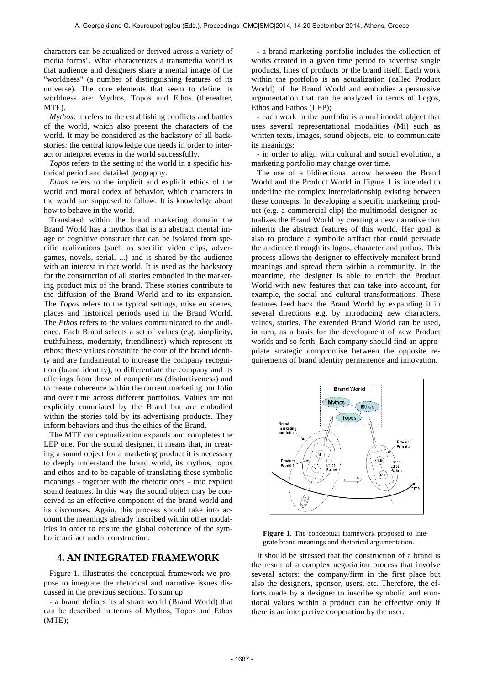characters can be actualized or derived across a variety of media forms". What characterizes a transmedia world is that audience and designers share a mental image of the "worldness" (a number of distinguishing features of its universe). The core elements that seem to define its worldness are: Mythos, Topos and Ethos (thereafter, MTE).

*Mythos*: it refers to the establishing conflicts and battles of the world, which also present the characters of the world. It may be considered as the backstory of all backstories: the central knowledge one needs in order to interact or interpret events in the world successfully.

*Topos* refers to the setting of the world in a specific historical period and detailed geography.

*Ethos* refers to the implicit and explicit ethics of the world and moral codex of behavior, which characters in the world are supposed to follow. It is knowledge about how to behave in the world.

Translated within the brand marketing domain the Brand World has a mythos that is an abstract mental image or cognitive construct that can be isolated from specific realizations (such as specific video clips, advergames, novels, serial, ...) and is shared by the audience with an interest in that world. It is used as the backstory for the construction of all stories embodied in the marketing product mix of the brand. These stories contribute to the diffusion of the Brand World and to its expansion. The *Topos* refers to the typical settings, mise en scenes, places and historical periods used in the Brand World. The *Ethos* refers to the values communicated to the audience. Each Brand selects a set of values (e.g. simplicity, truthfulness, modernity, friendliness) which represent its ethos; these values constitute the core of the brand identity and are fundamental to increase the company recognition (brand identity), to differentiate the company and its offerings from those of competitors (distinctiveness) and to create coherence within the current marketing portfolio and over time across different portfolios. Values are not explicitly enunciated by the Brand but are embodied within the stories told by its advertising products. They inform behaviors and thus the ethics of the Brand.

The MTE conceptualization expands and completes the LEP one. For the sound designer, it means that, in creating a sound object for a marketing product it is necessary to deeply understand the brand world, its mythos, topos and ethos and to be capable of translating these symbolic meanings - together with the rhetoric ones - into explicit sound features. In this way the sound object may be conceived as an effective component of the brand world and its discourses. Again, this process should take into account the meanings already inscribed within other modalities in order to ensure the global coherence of the symbolic artifact under construction.

## **4. AN INTEGRATED FRAMEWORK**

Figure 1. illustrates the conceptual framework we propose to integrate the rhetorical and narrative issues discussed in the previous sections. To sum up:

- a brand defines its abstract world (Brand World) that can be described in terms of Mythos, Topos and Ethos (MTE);

- a brand marketing portfolio includes the collection of works created in a given time period to advertise single products, lines of products or the brand itself. Each work within the portfolio is an actualization (called Product World) of the Brand World and embodies a persuasive argumentation that can be analyzed in terms of Logos, Ethos and Pathos (LEP);

- each work in the portfolio is a multimodal object that uses several representational modalities (Mi) such as written texts, images, sound objects, etc. to communicate its meanings;

- in order to align with cultural and social evolution, a marketing portfolio may change over time.

The use of a bidirectional arrow between the Brand World and the Product World in Figure 1 is intended to underline the complex interrelationship existing between these concepts. In developing a specific marketing product (e.g. a commercial clip) the multimodal designer actualizes the Brand World by creating a new narrative that inherits the abstract features of this world. Her goal is also to produce a symbolic artifact that could persuade the audience through its logos, character and pathos. This process allows the designer to effectively manifest brand meanings and spread them within a community. In the meantime, the designer is able to enrich the Product World with new features that can take into account, for example, the social and cultural transformations. These features feed back the Brand World by expanding it in several directions e.g. by introducing new characters, values, stories. The extended Brand World can be used, in turn, as a basis for the development of new Product worlds and so forth. Each company should find an appropriate strategic compromise between the opposite requirements of brand identity permanence and innovation.



**Figure 1**. The conceptual framework proposed to integrate brand meanings and rhetorical argumentation.

It should be stressed that the construction of a brand is the result of a complex negotiation process that involve several actors: the company/firm in the first place but also the designers, sponsor, users, etc. Therefore, the efforts made by a designer to inscribe symbolic and emotional values within a product can be effective only if there is an interpretive cooperation by the user.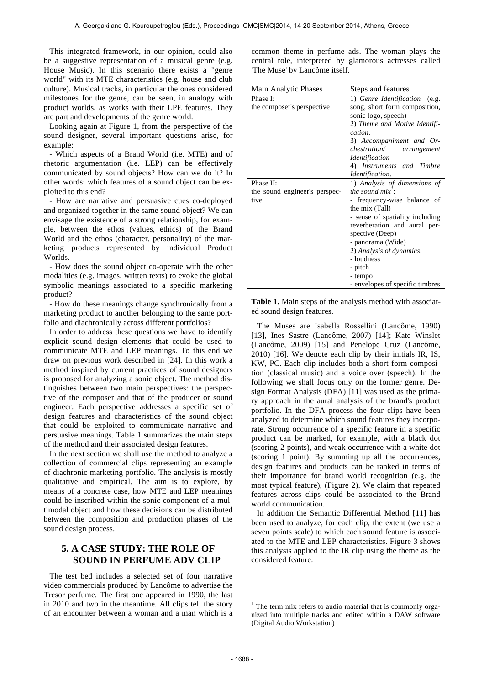This integrated framework, in our opinion, could also be a suggestive representation of a musical genre (e.g. House Music). In this scenario there exists a "genre world" with its MTE characteristics (e.g. house and club culture). Musical tracks, in particular the ones considered milestones for the genre, can be seen, in analogy with product worlds, as works with their LPE features. They are part and developments of the genre world.

Looking again at Figure 1, from the perspective of the sound designer, several important questions arise, for example:

- Which aspects of a Brand World (i.e. MTE) and of rhetoric argumentation (i.e. LEP) can be effectively communicated by sound objects? How can we do it? In other words: which features of a sound object can be exploited to this end?

- How are narrative and persuasive cues co-deployed and organized together in the same sound object? We can envisage the existence of a strong relationship, for example, between the ethos (values, ethics) of the Brand World and the ethos (character, personality) of the marketing products represented by individual Product Worlds.

- How does the sound object co-operate with the other modalities (e.g. images, written texts) to evoke the global symbolic meanings associated to a specific marketing product?

- How do these meanings change synchronically from a marketing product to another belonging to the same portfolio and diachronically across different portfolios?

In order to address these questions we have to identify explicit sound design elements that could be used to communicate MTE and LEP meanings. To this end we draw on previous work described in [24]. In this work a method inspired by current practices of sound designers is proposed for analyzing a sonic object. The method distinguishes between two main perspectives: the perspective of the composer and that of the producer or sound engineer. Each perspective addresses a specific set of design features and characteristics of the sound object that could be exploited to communicate narrative and persuasive meanings. Table 1 summarizes the main steps of the method and their associated design features.

In the next section we shall use the method to analyze a collection of commercial clips representing an example of diachronic marketing portfolio. The analysis is mostly qualitative and empirical. The aim is to explore, by means of a concrete case, how MTE and LEP meanings could be inscribed within the sonic component of a multimodal object and how these decisions can be distributed between the composition and production phases of the sound design process.

# **5. A CASE STUDY: THE ROLE OF SOUND IN PERFUME ADV CLIP**

The test bed includes a selected set of four narrative video commercials produced by Lancôme to advertise the Tresor perfume. The first one appeared in 1990, the last in 2010 and two in the meantime. All clips tell the story of an encounter between a woman and a man which is a common theme in perfume ads. The woman plays the central role, interpreted by glamorous actresses called 'The Muse' by Lancôme itself.

| Main Analytic Phases          | Steps and features                                              |  |
|-------------------------------|-----------------------------------------------------------------|--|
| Phase I:                      | 1) Genre Identification<br>(e.g.                                |  |
| the composer's perspective    | song, short form composition,                                   |  |
|                               | sonic logo, speech)                                             |  |
|                               | 2) Theme and Motive Identifi-                                   |  |
|                               | cation.                                                         |  |
|                               | 3) Accompaniment and Or-                                        |  |
|                               | chestration/<br>arrangement                                     |  |
|                               | <i><u><b>Identification</b></u></i>                             |  |
|                               | 4) Instruments and Timbre                                       |  |
|                               | <i>Identification.</i>                                          |  |
| Phase II:                     | 1) Analysis of dimensions of                                    |  |
| the sound engineer's perspec- | the sound $mix'$ :                                              |  |
| tive                          | frequency-wise balance of<br>the mix (Tall)                     |  |
|                               |                                                                 |  |
|                               | - sense of spatiality including<br>reverberation and aural per- |  |
|                               | spective (Deep)                                                 |  |
|                               | - panorama (Wide)                                               |  |
|                               | 2) Analysis of dynamics.                                        |  |
|                               | - loudness                                                      |  |
|                               |                                                                 |  |
|                               | - pitch                                                         |  |
|                               | - tempo                                                         |  |
|                               | - envelopes of specific timbres                                 |  |

**Table 1.** Main steps of the analysis method with associated sound design features.

The Muses are Isabella Rossellini (Lancôme, 1990) [13], Ines Sastre (Lancôme, 2007) [14]; Kate Winslet (Lancôme, 2009) [15] and Penelope Cruz (Lancôme, 2010) [16]. We denote each clip by their initials IR, IS, KW, PC. Each clip includes both a short form composition (classical music) and a voice over (speech). In the following we shall focus only on the former genre. Design Format Analysis (DFA) [11] was used as the primary approach in the aural analysis of the brand's product portfolio. In the DFA process the four clips have been analyzed to determine which sound features they incorporate. Strong occurrence of a specific feature in a specific product can be marked, for example, with a black dot (scoring 2 points), and weak occurrence with a white dot (scoring 1 point). By summing up all the occurrences, design features and products can be ranked in terms of their importance for brand world recognition (e.g. the most typical feature), (Figure 2). We claim that repeated features across clips could be associated to the Brand world communication.

In addition the Semantic Differential Method [11] has been used to analyze, for each clip, the extent (we use a seven points scale) to which each sound feature is associated to the MTE and LEP characteristics. Figure 3 shows this analysis applied to the IR clip using the theme as the considered feature.

l

 $<sup>1</sup>$  The term mix refers to audio material that is commonly orga-</sup> nized into multiple tracks and edited within a DAW software (Digital Audio Workstation)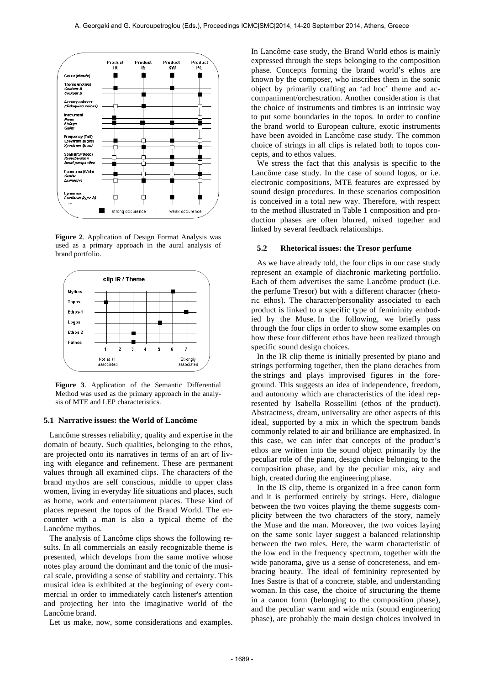

**Figure 2**. Application of Design Format Analysis was used as a primary approach in the aural analysis of brand portfolio.



**Figure 3**. Application of the Semantic Differential Method was used as the primary approach in the analysis of MTE and LEP characteristics.

#### **5.1 Narrative issues: the World of Lancôme**

Lancôme stresses reliability, quality and expertise in the domain of beauty. Such qualities, belonging to the ethos, are projected onto its narratives in terms of an art of living with elegance and refinement. These are permanent values through all examined clips. The characters of the brand mythos are self conscious, middle to upper class women, living in everyday life situations and places, such as home, work and entertainment places. These kind of places represent the topos of the Brand World. The encounter with a man is also a typical theme of the Lancôme mythos.

The analysis of Lancôme clips shows the following results. In all commercials an easily recognizable theme is presented, which develops from the same motive whose notes play around the dominant and the tonic of the musical scale, providing a sense of stability and certainty. This musical idea is exhibited at the beginning of every commercial in order to immediately catch listener's attention and projecting her into the imaginative world of the Lancôme brand.

Let us make, now, some considerations and examples.

In Lancôme case study, the Brand World ethos is mainly expressed through the steps belonging to the composition phase. Concepts forming the brand world's ethos are known by the composer, who inscribes them in the sonic object by primarily crafting an 'ad hoc' theme and accompaniment/orchestration. Another consideration is that the choice of instruments and timbres is an intrinsic way to put some boundaries in the topos. In order to confine the brand world to European culture, exotic instruments have been avoided in Lancôme case study. The common choice of strings in all clips is related both to topos concepts, and to ethos values.

We stress the fact that this analysis is specific to the Lancôme case study. In the case of sound logos, or i.e. electronic compositions, MTE features are expressed by sound design procedures. In these scenarios composition is conceived in a total new way. Therefore, with respect to the method illustrated in Table 1 composition and production phases are often blurred, mixed together and linked by several feedback relationships.

#### **5.2 Rhetorical issues: the Tresor perfume**

As we have already told, the four clips in our case study represent an example of diachronic marketing portfolio. Each of them advertises the same Lancôme product (i.e. the perfume Tresor) but with a different character (rhetoric ethos). The character/personality associated to each product is linked to a specific type of femininity embodied by the Muse. In the following, we briefly pass through the four clips in order to show some examples on how these four different ethos have been realized through specific sound design choices.

In the IR clip theme is initially presented by piano and strings performing together, then the piano detaches from the strings and plays improvised figures in the foreground. This suggests an idea of independence, freedom, and autonomy which are characteristics of the ideal represented by Isabella Rossellini (ethos of the product). Abstractness, dream, universality are other aspects of this ideal, supported by a mix in which the spectrum bands commonly related to air and brilliance are emphasized. In this case, we can infer that concepts of the product's ethos are written into the sound object primarily by the peculiar role of the piano, design choice belonging to the composition phase, and by the peculiar mix, airy and high, created during the engineering phase.

In the IS clip, theme is organized in a free canon form and it is performed entirely by strings. Here, dialogue between the two voices playing the theme suggests complicity between the two characters of the story, namely the Muse and the man. Moreover, the two voices laying on the same sonic layer suggest a balanced relationship between the two roles. Here, the warm characteristic of the low end in the frequency spectrum, together with the wide panorama, give us a sense of concreteness, and embracing beauty. The ideal of femininity represented by Ines Sastre is that of a concrete, stable, and understanding woman. In this case, the choice of structuring the theme in a canon form (belonging to the composition phase), and the peculiar warm and wide mix (sound engineering phase), are probably the main design choices involved in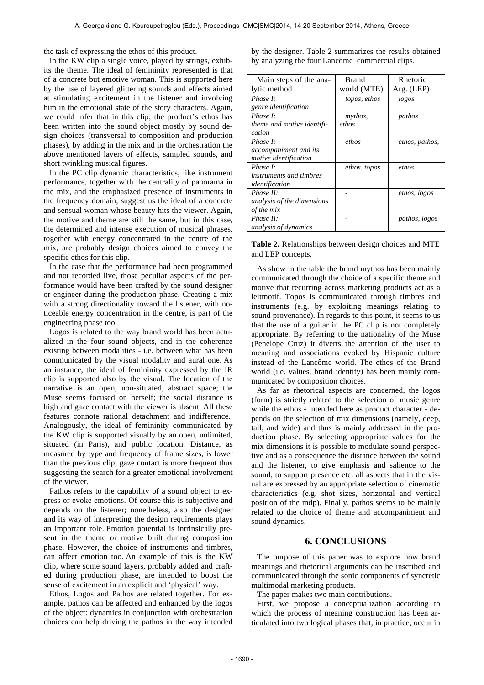the task of expressing the ethos of this product.

In the KW clip a single voice, played by strings, exhibits the theme. The ideal of femininity represented is that of a concrete but emotive woman. This is supported here by the use of layered glittering sounds and effects aimed at stimulating excitement in the listener and involving him in the emotional state of the story characters. Again, we could infer that in this clip, the product's ethos has been written into the sound object mostly by sound design choices (transversal to composition and production phases), by adding in the mix and in the orchestration the above mentioned layers of effects, sampled sounds, and short twinkling musical figures.

In the PC clip dynamic characteristics, like instrument performance, together with the centrality of panorama in the mix, and the emphasized presence of instruments in the frequency domain, suggest us the ideal of a concrete and sensual woman whose beauty hits the viewer. Again, the motive and theme are still the same, but in this case, the determined and intense execution of musical phrases, together with energy concentrated in the centre of the mix, are probably design choices aimed to convey the specific ethos for this clip.

In the case that the performance had been programmed and not recorded live, those peculiar aspects of the performance would have been crafted by the sound designer or engineer during the production phase. Creating a mix with a strong directionality toward the listener, with noticeable energy concentration in the centre, is part of the engineering phase too.

Logos is related to the way brand world has been actualized in the four sound objects, and in the coherence existing between modalities - i.e. between what has been communicated by the visual modality and aural one. As an instance, the ideal of femininity expressed by the IR clip is supported also by the visual. The location of the narrative is an open, non-situated, abstract space; the Muse seems focused on herself; the social distance is high and gaze contact with the viewer is absent. All these features connote rational detachment and indifference. Analogously, the ideal of femininity communicated by the KW clip is supported visually by an open, unlimited, situated (in Paris), and public location. Distance, as measured by type and frequency of frame sizes, is lower than the previous clip; gaze contact is more frequent thus suggesting the search for a greater emotional involvement of the viewer.

Pathos refers to the capability of a sound object to express or evoke emotions. Of course this is subjective and depends on the listener; nonetheless, also the designer and its way of interpreting the design requirements plays an important role. Emotion potential is intrinsically present in the theme or motive built during composition phase. However, the choice of instruments and timbres, can affect emotion too. An example of this is the KW clip, where some sound layers, probably added and crafted during production phase, are intended to boost the sense of excitement in an explicit and 'physical' way.

Ethos, Logos and Pathos are related together. For example, pathos can be affected and enhanced by the logos of the object: dynamics in conjunction with orchestration choices can help driving the pathos in the way intended by the designer. Table 2 summarizes the results obtained by analyzing the four Lancôme commercial clips.

| Main steps of the ana-     | <b>Brand</b> | Rhetoric       |
|----------------------------|--------------|----------------|
| lytic method               | world (MTE)  | Arg. (LEP)     |
| Phase I:                   | topos, ethos | logos          |
| genre identification       |              |                |
| Phase $I:$                 | mythos,      | pathos         |
| theme and motive identifi- | ethos        |                |
| cation                     |              |                |
| Phase I:                   | ethos        | ethos, pathos, |
| accompaniment and its      |              |                |
| motive identification      |              |                |
| Phase I:                   | ethos, topos | ethos          |
| instruments and timbres    |              |                |
| identification             |              |                |
| Phase II:                  |              | ethos, logos   |
| analysis of the dimensions |              |                |
| of the mix                 |              |                |
| Phase II:                  |              | pathos, logos  |
| analysis of dynamics       |              |                |

**Table 2.** Relationships between design choices and MTE and LEP concepts.

As show in the table the brand mythos has been mainly communicated through the choice of a specific theme and motive that recurring across marketing products act as a leitmotif. Topos is communicated through timbres and instruments (e.g. by exploiting meanings relating to sound provenance). In regards to this point, it seems to us that the use of a guitar in the PC clip is not completely appropriate. By referring to the nationality of the Muse (Penelope Cruz) it diverts the attention of the user to meaning and associations evoked by Hispanic culture instead of the Lancôme world. The ethos of the Brand world (i.e. values, brand identity) has been mainly communicated by composition choices.

As far as rhetorical aspects are concerned, the logos (form) is strictly related to the selection of music genre while the ethos - intended here as product character - depends on the selection of mix dimensions (namely, deep, tall, and wide) and thus is mainly addressed in the production phase. By selecting appropriate values for the mix dimensions it is possible to modulate sound perspective and as a consequence the distance between the sound and the listener, to give emphasis and salience to the sound, to support presence etc. all aspects that in the visual are expressed by an appropriate selection of cinematic characteristics (e.g. shot sizes, horizontal and vertical position of the mdp). Finally, pathos seems to be mainly related to the choice of theme and accompaniment and sound dynamics.

### **6. CONCLUSIONS**

The purpose of this paper was to explore how brand meanings and rhetorical arguments can be inscribed and communicated through the sonic components of syncretic multimodal marketing products.

The paper makes two main contributions.

First, we propose a conceptualization according to which the process of meaning construction has been articulated into two logical phases that, in practice, occur in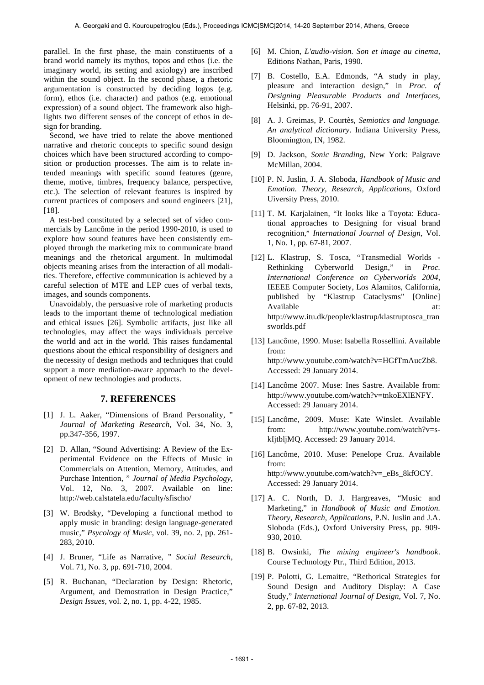parallel. In the first phase, the main constituents of a brand world namely its mythos, topos and ethos (i.e. the imaginary world, its setting and axiology) are inscribed within the sound object. In the second phase, a rhetoric argumentation is constructed by deciding logos (e.g. form), ethos (i.e. character) and pathos (e.g. emotional expression) of a sound object. The framework also highlights two different senses of the concept of ethos in design for branding.

Second, we have tried to relate the above mentioned narrative and rhetoric concepts to specific sound design choices which have been structured according to composition or production processes. The aim is to relate intended meanings with specific sound features (genre, theme, motive, timbres, frequency balance, perspective, etc.). The selection of relevant features is inspired by current practices of composers and sound engineers [21], [18].

A test-bed constituted by a selected set of video commercials by Lancôme in the period 1990-2010, is used to explore how sound features have been consistently employed through the marketing mix to communicate brand meanings and the rhetorical argument. In multimodal objects meaning arises from the interaction of all modalities. Therefore, effective communication is achieved by a careful selection of MTE and LEP cues of verbal texts, images, and sounds components.

Unavoidably, the persuasive role of marketing products leads to the important theme of technological mediation and ethical issues [26]. Symbolic artifacts, just like all technologies, may affect the ways individuals perceive the world and act in the world. This raises fundamental questions about the ethical responsibility of designers and the necessity of design methods and techniques that could support a more mediation-aware approach to the development of new technologies and products.

#### **7. REFERENCES**

- [1] J. L. Aaker, "Dimensions of Brand Personality, " *Journal of Marketing Research*, Vol. 34, No. 3, pp.347-356, 1997.
- [2] D. Allan, "Sound Advertising: A Review of the Experimental Evidence on the Effects of Music in Commercials on Attention, Memory, Attitudes, and Purchase Intention, " *Journal of Media Psychology*, Vol. 12, No. 3, 2007. Available on line: http://web.calstatela.edu/faculty/sfischo/
- [3] W. Brodsky, "Developing a functional method to apply music in branding: design language-generated music," *Psycology of Music*, vol. 39, no. 2, pp. 261- 283, 2010.
- [4] J. Bruner, "Life as Narrative, " *Social Research,* Vol. 71, No. 3, pp. 691-710, 2004.
- [5] R. Buchanan, "Declaration by Design: Rhetoric, Argument, and Demostration in Design Practice," *Design Issues*, vol. 2, no. 1, pp. 4-22, 1985.
- [6] M. Chion, *L'audio-vision. Son et image au cinema*, Editions Nathan, Paris, 1990.
- [7] B. Costello, E.A. Edmonds, "A study in play, pleasure and interaction design," in *Proc. of Designing Pleasurable Products and Interfaces*, Helsinki, pp. 76-91, 2007.
- [8] A. J. Greimas, P. Courtès, *Semiotics and language. An analytical dictionary*. Indiana University Press, Bloomington, IN, 1982.
- [9] D. Jackson, *Sonic Branding*, New York: Palgrave McMillan, 2004.
- [10] P. N. Juslin, J. A. Sloboda, *Handbook of Music and Emotion. Theory, Research, Applications*, Oxford Uiversity Press, 2010.
- [11] T. M. Karjalainen, "It looks like a Toyota: Educational approaches to Designing for visual brand recognition," *International Journal of Design*, Vol. 1, No. 1, pp. 67-81, 2007.
- [12] L. Klastrup, S. Tosca, "Transmedial Worlds Rethinking Cyberworld Design," in *Proc. International Conference on Cyberworlds 2004*, IEEEE Computer Society, Los Alamitos, California, published by "Klastrup Cataclysms" [Online] Available at: at: http://www.itu.dk/people/klastrup/klastruptosca\_tran sworlds.pdf
- [13] Lancôme, 1990. Muse: Isabella Rossellini. Available from: http://www.youtube.com/watch?v=HGfTmAucZb8. Accessed: 29 January 2014.
- [14] Lancôme 2007. Muse: Ines Sastre. Available from: http://www.youtube.com/watch?v=tnkoEXlENFY. Accessed: 29 January 2014.
- [15] Lancôme, 2009. Muse: Kate Winslet. Available from: http://www.youtube.com/watch?v=skIjtbljMQ. Accessed: 29 January 2014.
- [16] Lancôme, 2010. Muse: Penelope Cruz. Available from: http://www.youtube.com/watch?v=\_eBs\_8kfOCY. Accessed: 29 January 2014.
- [17] A. C. North, D. J. Hargreaves, "Music and Marketing," in *Handbook of Music and Emotion. Theory, Research, Applications*, P.N. Juslin and J.A. Sloboda (Eds.), Oxford University Press, pp. 909- 930, 2010.
- [18] B. Owsinki, *The mixing engineer's handbook*. Course Technology Ptr., Third Edition, 2013.
- [19] P. Polotti, G. Lemaitre, "Rethorical Strategies for Sound Design and Auditory Display: A Case Study," *International Journal of Design*, Vol. 7, No. 2, pp. 67-82, 2013.